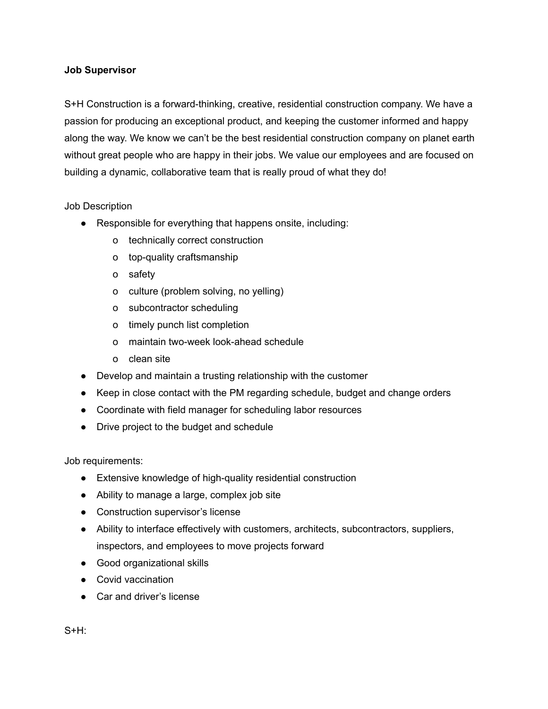## **Job Supervisor**

S+H Construction is a forward-thinking, creative, residential construction company. We have a passion for producing an exceptional product, and keeping the customer informed and happy along the way. We know we can't be the best residential construction company on planet earth without great people who are happy in their jobs. We value our employees and are focused on building a dynamic, collaborative team that is really proud of what they do!

## Job Description

- Responsible for everything that happens onsite, including:
	- o technically correct construction
	- o top-quality craftsmanship
	- o safety
	- o culture (problem solving, no yelling)
	- o subcontractor scheduling
	- o timely punch list completion
	- o maintain two-week look-ahead schedule
	- o clean site
- Develop and maintain a trusting relationship with the customer
- Keep in close contact with the PM regarding schedule, budget and change orders
- Coordinate with field manager for scheduling labor resources
- Drive project to the budget and schedule

Job requirements:

- Extensive knowledge of high-quality residential construction
- Ability to manage a large, complex job site
- Construction supervisor's license
- Ability to interface effectively with customers, architects, subcontractors, suppliers, inspectors, and employees to move projects forward
- Good organizational skills
- Covid vaccination
- Car and driver's license

S+H: